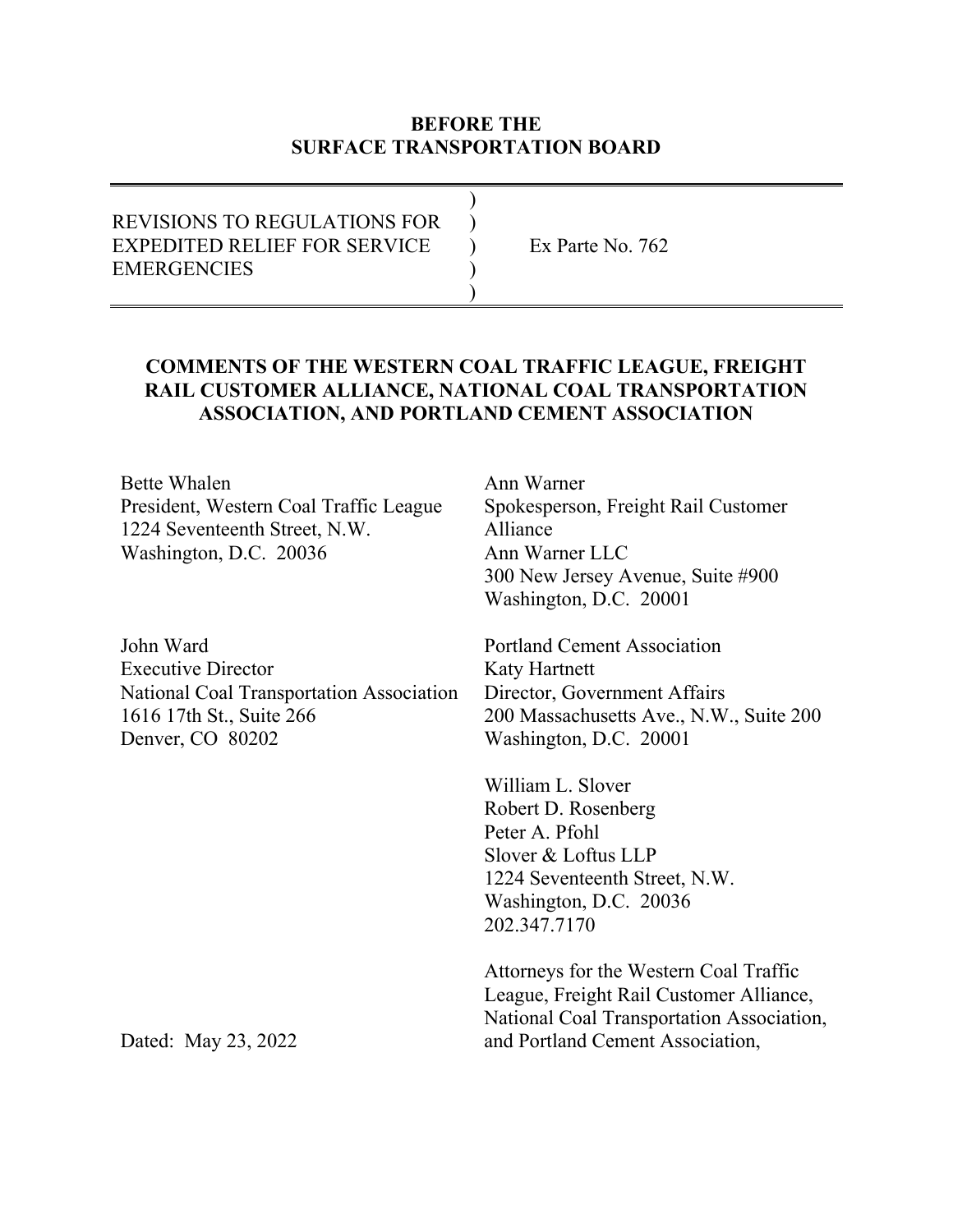### **BEFORE THE SURFACE TRANSPORTATION BOARD**

| <b>REVISIONS TO REGULATIONS FOR</b> |                  |
|-------------------------------------|------------------|
| EXPEDITED RELIEF FOR SERVICE        | Ex Parte No. 762 |
| <b>EMERGENCIES</b>                  |                  |
|                                     |                  |

### **COMMENTS OF THE WESTERN COAL TRAFFIC LEAGUE, FREIGHT RAIL CUSTOMER ALLIANCE, NATIONAL COAL TRANSPORTATION ASSOCIATION, AND PORTLAND CEMENT ASSOCIATION**

Bette Whalen President, Western Coal Traffic League 1224 Seventeenth Street, N.W. Washington, D.C. 20036

John Ward Executive Director National Coal Transportation Association 1616 17th St., Suite 266 Denver, CO 80202

Ann Warner Spokesperson, Freight Rail Customer Alliance Ann Warner LLC 300 New Jersey Avenue, Suite #900 Washington, D.C. 20001

Portland Cement Association Katy Hartnett Director, Government Affairs 200 Massachusetts Ave., N.W., Suite 200 Washington, D.C. 20001

William L. Slover Robert D. Rosenberg Peter A. Pfohl Slover & Loftus LLP 1224 Seventeenth Street, N.W. Washington, D.C. 20036 202.347.7170

Attorneys for the Western Coal Traffic League, Freight Rail Customer Alliance, National Coal Transportation Association, and Portland Cement Association,

Dated: May 23, 2022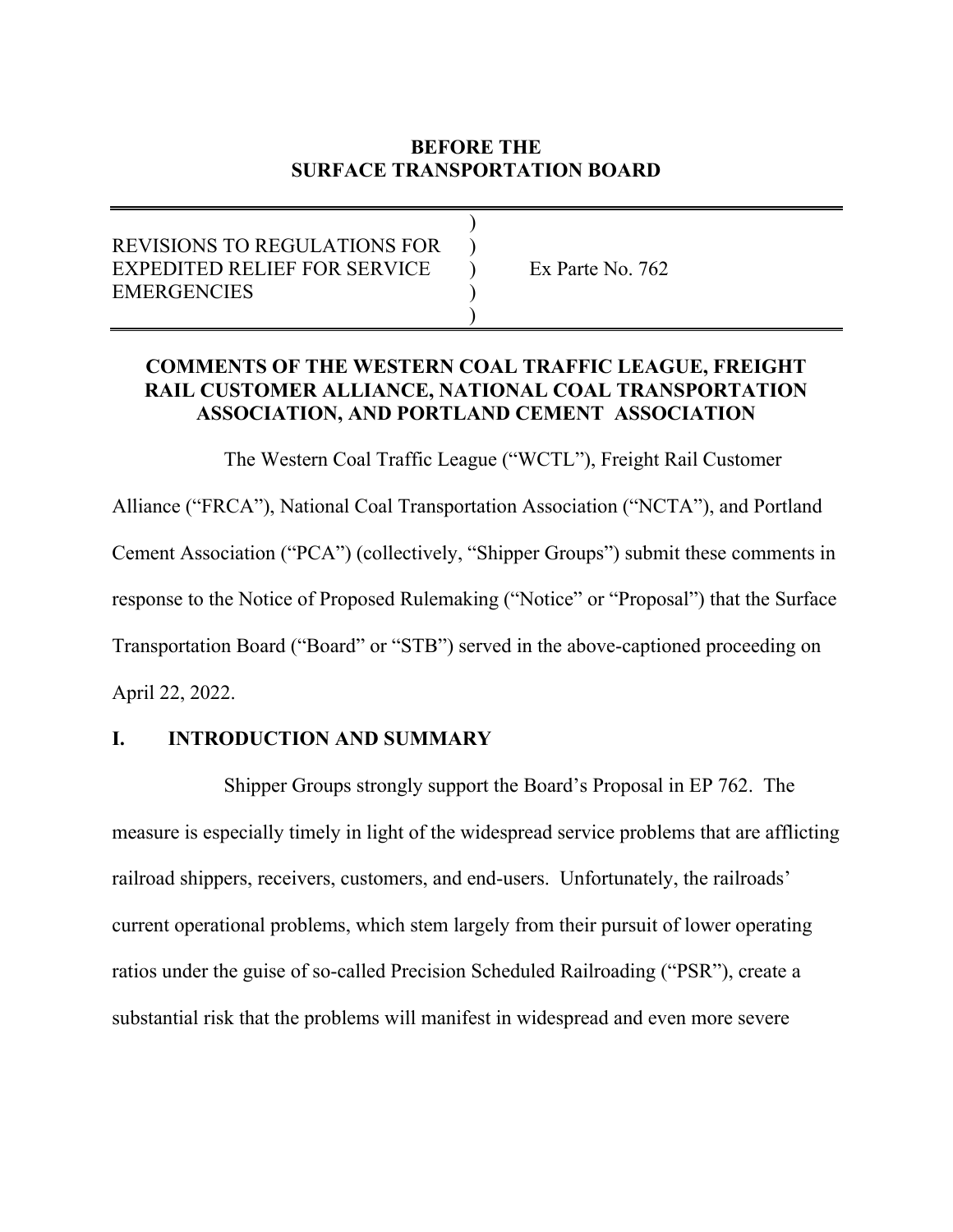# **BEFORE THE SURFACE TRANSPORTATION BOARD**

# REVISIONS TO REGULATIONS FOR ) EXPEDITED RELIEF FOR SERVICE  $\rightarrow$  Ex Parte No. 762 **EMERGENCIES**  $\overline{\phantom{a}}$

 $)$ 

# **COMMENTS OF THE WESTERN COAL TRAFFIC LEAGUE, FREIGHT RAIL CUSTOMER ALLIANCE, NATIONAL COAL TRANSPORTATION ASSOCIATION, AND PORTLAND CEMENT ASSOCIATION**

The Western Coal Traffic League ("WCTL"), Freight Rail Customer Alliance ("FRCA"), National Coal Transportation Association ("NCTA"), and Portland Cement Association ("PCA") (collectively, "Shipper Groups") submit these comments in response to the Notice of Proposed Rulemaking ("Notice" or "Proposal") that the Surface Transportation Board ("Board" or "STB") served in the above-captioned proceeding on April 22, 2022.

### **I. INTRODUCTION AND SUMMARY**

 Shipper Groups strongly support the Board's Proposal in EP 762. The measure is especially timely in light of the widespread service problems that are afflicting railroad shippers, receivers, customers, and end-users. Unfortunately, the railroads' current operational problems, which stem largely from their pursuit of lower operating ratios under the guise of so-called Precision Scheduled Railroading ("PSR"), create a substantial risk that the problems will manifest in widespread and even more severe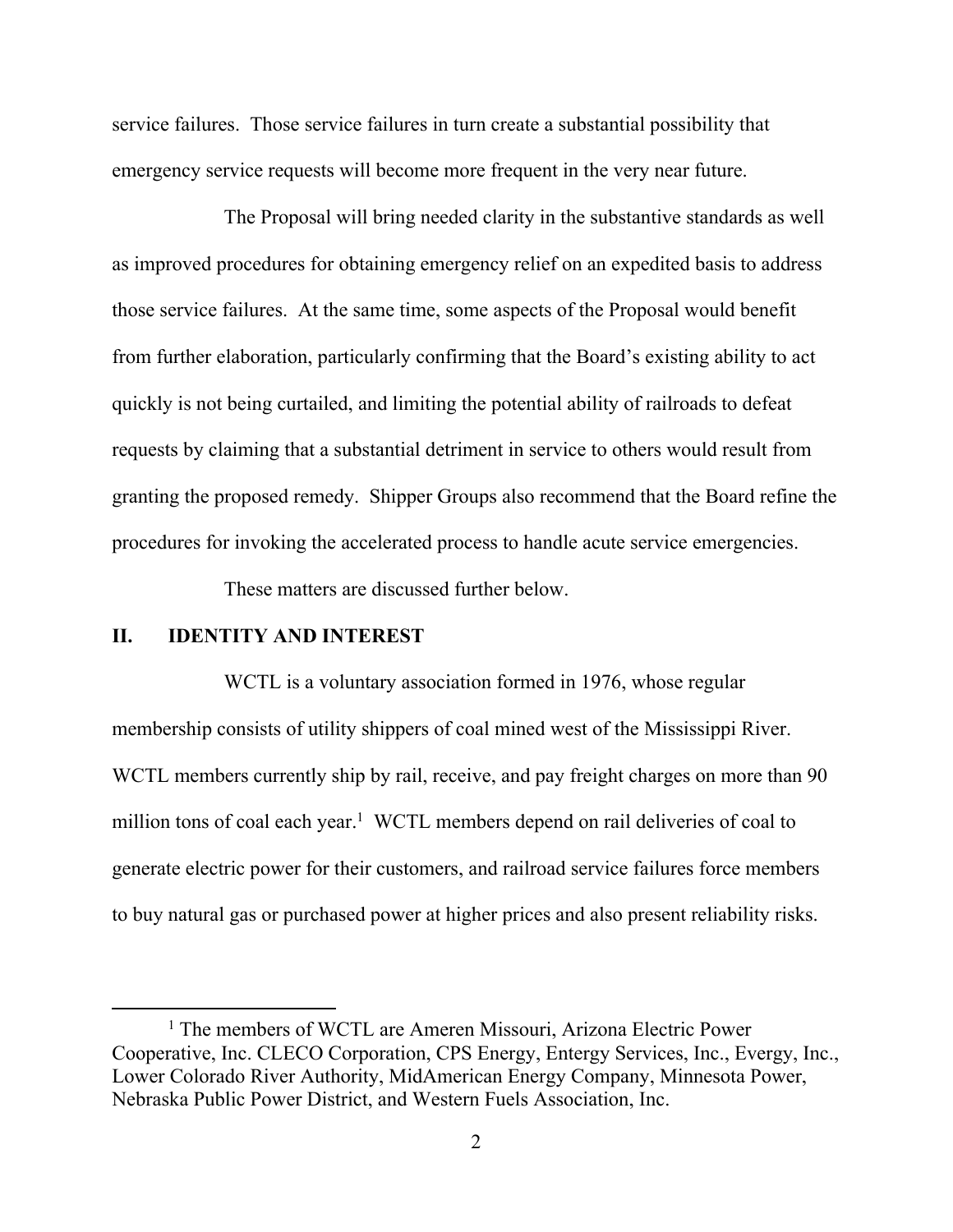service failures. Those service failures in turn create a substantial possibility that emergency service requests will become more frequent in the very near future.

 The Proposal will bring needed clarity in the substantive standards as well as improved procedures for obtaining emergency relief on an expedited basis to address those service failures. At the same time, some aspects of the Proposal would benefit from further elaboration, particularly confirming that the Board's existing ability to act quickly is not being curtailed, and limiting the potential ability of railroads to defeat requests by claiming that a substantial detriment in service to others would result from granting the proposed remedy. Shipper Groups also recommend that the Board refine the procedures for invoking the accelerated process to handle acute service emergencies.

These matters are discussed further below.

### **II. IDENTITY AND INTEREST**

WCTL is a voluntary association formed in 1976, whose regular membership consists of utility shippers of coal mined west of the Mississippi River. WCTL members currently ship by rail, receive, and pay freight charges on more than 90 million tons of coal each year.<sup>1</sup> WCTL members depend on rail deliveries of coal to generate electric power for their customers, and railroad service failures force members to buy natural gas or purchased power at higher prices and also present reliability risks.

<sup>&</sup>lt;sup>1</sup> The members of WCTL are Ameren Missouri, Arizona Electric Power Cooperative, Inc. CLECO Corporation, CPS Energy, Entergy Services, Inc., Evergy, Inc., Lower Colorado River Authority, MidAmerican Energy Company, Minnesota Power, Nebraska Public Power District, and Western Fuels Association, Inc.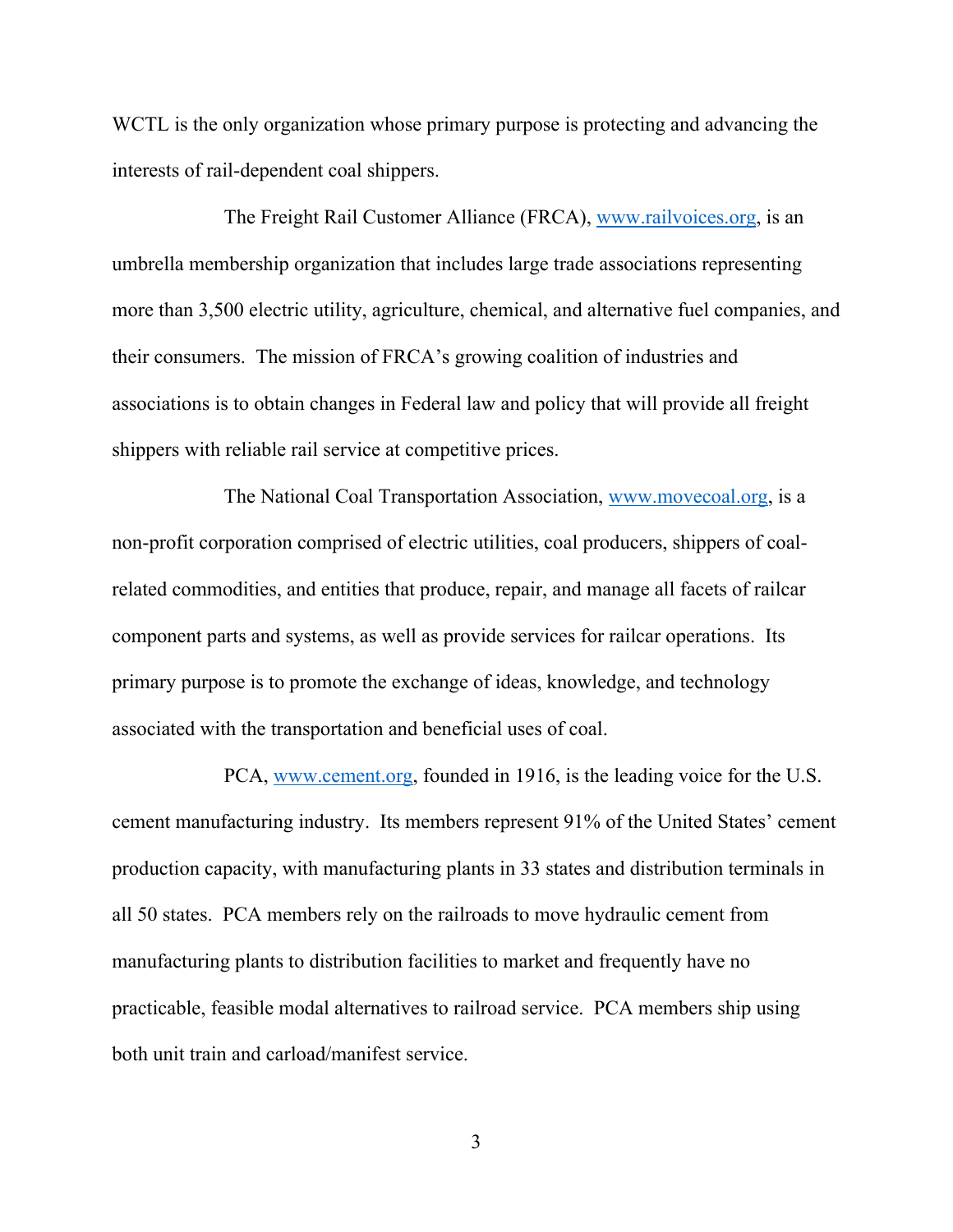WCTL is the only organization whose primary purpose is protecting and advancing the interests of rail-dependent coal shippers.

 The Freight Rail Customer Alliance (FRCA), www.railvoices.org, is an umbrella membership organization that includes large trade associations representing more than 3,500 electric utility, agriculture, chemical, and alternative fuel companies, and their consumers. The mission of FRCA's growing coalition of industries and associations is to obtain changes in Federal law and policy that will provide all freight shippers with reliable rail service at competitive prices.

 The National Coal Transportation Association, www.movecoal.org, is a non-profit corporation comprised of electric utilities, coal producers, shippers of coalrelated commodities, and entities that produce, repair, and manage all facets of railcar component parts and systems, as well as provide services for railcar operations. Its primary purpose is to promote the exchange of ideas, knowledge, and technology associated with the transportation and beneficial uses of coal.

 PCA, www.cement.org, founded in 1916, is the leading voice for the U.S. cement manufacturing industry. Its members represent 91% of the United States' cement production capacity, with manufacturing plants in 33 states and distribution terminals in all 50 states. PCA members rely on the railroads to move hydraulic cement from manufacturing plants to distribution facilities to market and frequently have no practicable, feasible modal alternatives to railroad service. PCA members ship using both unit train and carload/manifest service.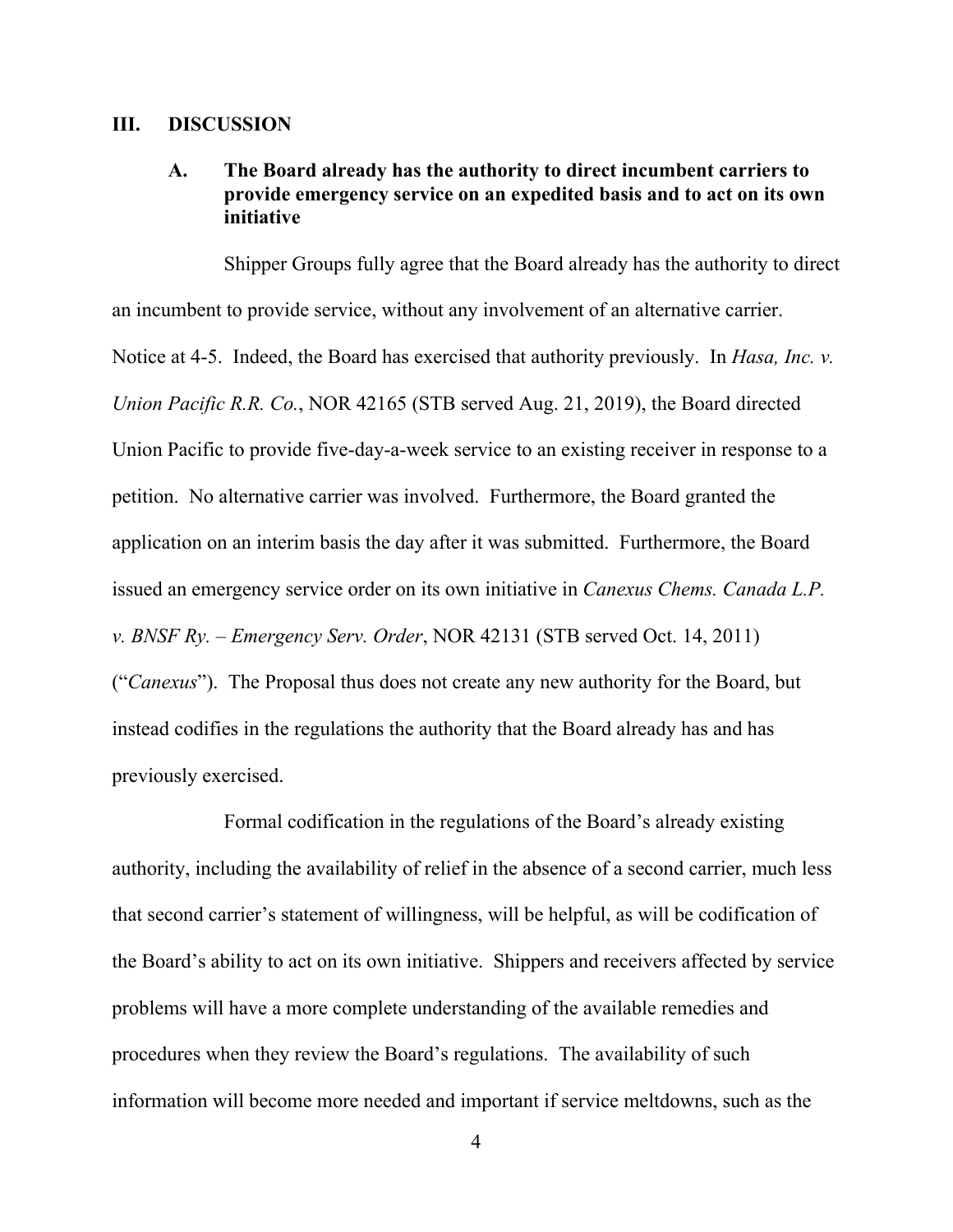#### **III. DISCUSSION**

## **A. The Board already has the authority to direct incumbent carriers to provide emergency service on an expedited basis and to act on its own initiative**

 Shipper Groups fully agree that the Board already has the authority to direct an incumbent to provide service, without any involvement of an alternative carrier. Notice at 4-5. Indeed, the Board has exercised that authority previously. In *Hasa, Inc. v. Union Pacific R.R. Co.*, NOR 42165 (STB served Aug. 21, 2019), the Board directed Union Pacific to provide five-day-a-week service to an existing receiver in response to a petition. No alternative carrier was involved. Furthermore, the Board granted the application on an interim basis the day after it was submitted. Furthermore, the Board issued an emergency service order on its own initiative in *Canexus Chems. Canada L.P. v. BNSF Ry. – Emergency Serv. Order*, NOR 42131 (STB served Oct. 14, 2011) ("*Canexus*"). The Proposal thus does not create any new authority for the Board, but instead codifies in the regulations the authority that the Board already has and has previously exercised.

 Formal codification in the regulations of the Board's already existing authority, including the availability of relief in the absence of a second carrier, much less that second carrier's statement of willingness, will be helpful, as will be codification of the Board's ability to act on its own initiative. Shippers and receivers affected by service problems will have a more complete understanding of the available remedies and procedures when they review the Board's regulations. The availability of such information will become more needed and important if service meltdowns, such as the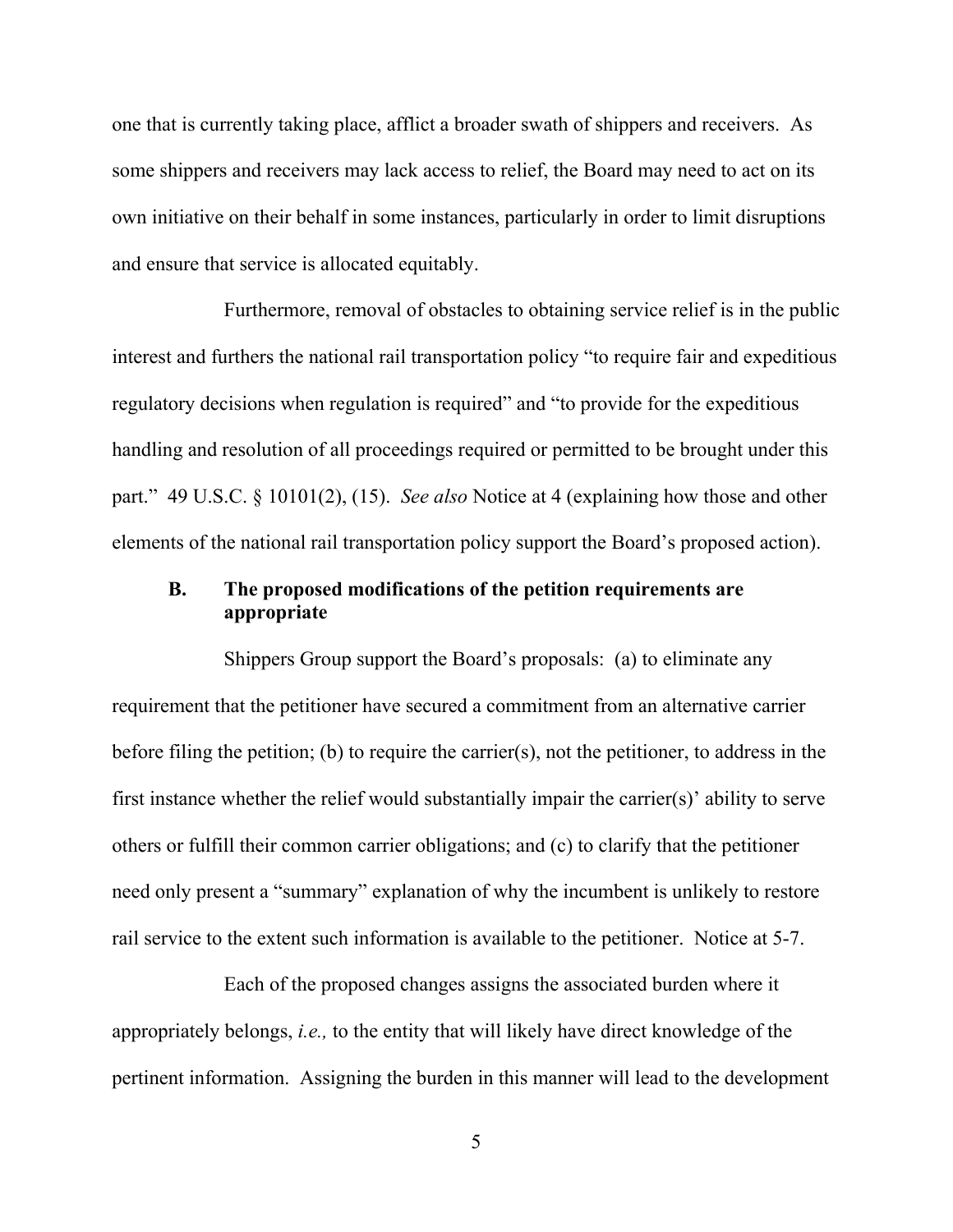one that is currently taking place, afflict a broader swath of shippers and receivers. As some shippers and receivers may lack access to relief, the Board may need to act on its own initiative on their behalf in some instances, particularly in order to limit disruptions and ensure that service is allocated equitably.

 Furthermore, removal of obstacles to obtaining service relief is in the public interest and furthers the national rail transportation policy "to require fair and expeditious regulatory decisions when regulation is required" and "to provide for the expeditious handling and resolution of all proceedings required or permitted to be brought under this part." 49 U.S.C. § 10101(2), (15). *See also* Notice at 4 (explaining how those and other elements of the national rail transportation policy support the Board's proposed action).

## **B. The proposed modifications of the petition requirements are appropriate**

 Shippers Group support the Board's proposals: (a) to eliminate any requirement that the petitioner have secured a commitment from an alternative carrier before filing the petition; (b) to require the carrier(s), not the petitioner, to address in the first instance whether the relief would substantially impair the carrier(s)' ability to serve others or fulfill their common carrier obligations; and (c) to clarify that the petitioner need only present a "summary" explanation of why the incumbent is unlikely to restore rail service to the extent such information is available to the petitioner. Notice at 5-7.

 Each of the proposed changes assigns the associated burden where it appropriately belongs, *i.e.,* to the entity that will likely have direct knowledge of the pertinent information. Assigning the burden in this manner will lead to the development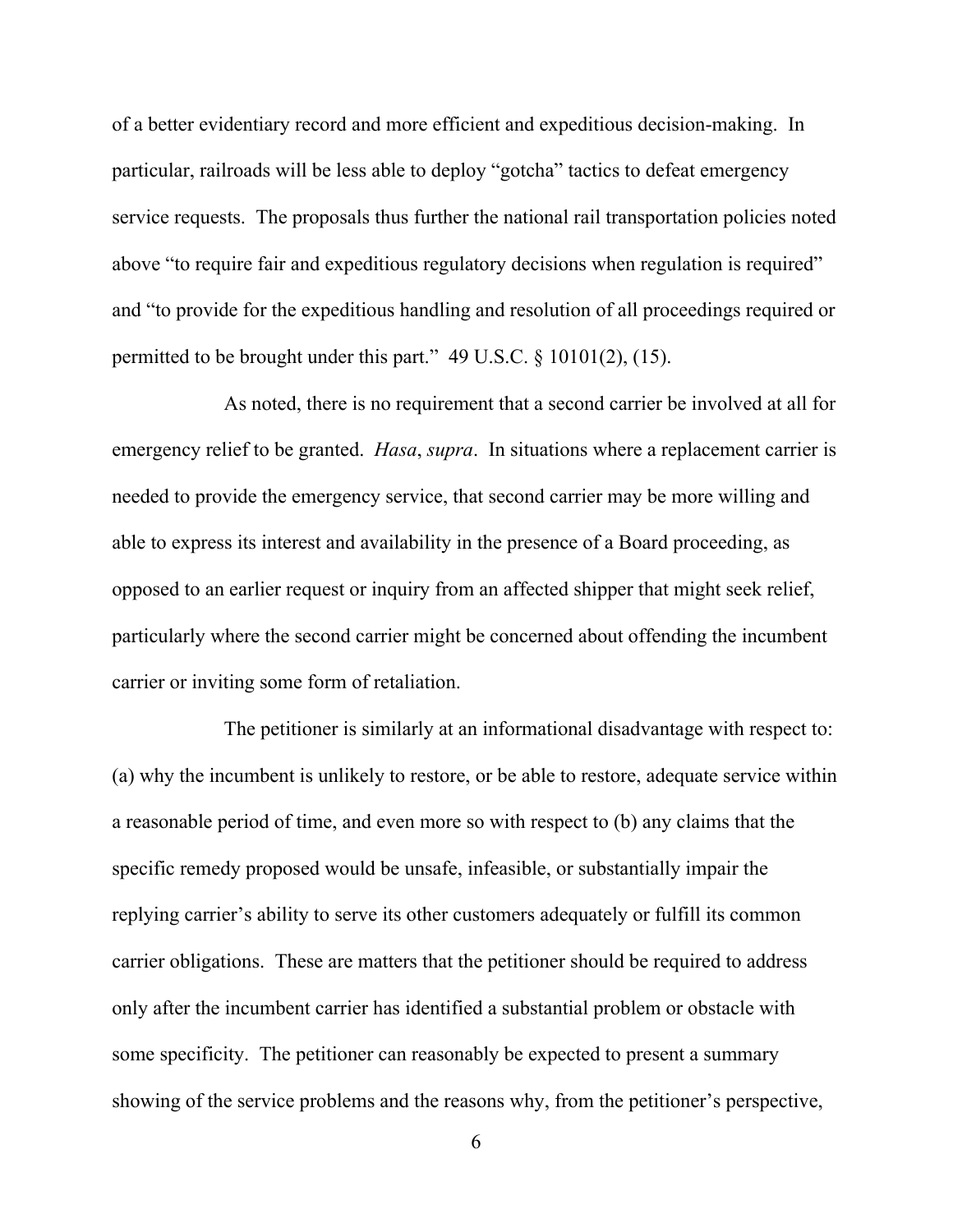of a better evidentiary record and more efficient and expeditious decision-making. In particular, railroads will be less able to deploy "gotcha" tactics to defeat emergency service requests. The proposals thus further the national rail transportation policies noted above "to require fair and expeditious regulatory decisions when regulation is required" and "to provide for the expeditious handling and resolution of all proceedings required or permitted to be brought under this part." 49 U.S.C. § 10101(2), (15).

 As noted, there is no requirement that a second carrier be involved at all for emergency relief to be granted. *Hasa*, *supra*. In situations where a replacement carrier is needed to provide the emergency service, that second carrier may be more willing and able to express its interest and availability in the presence of a Board proceeding, as opposed to an earlier request or inquiry from an affected shipper that might seek relief, particularly where the second carrier might be concerned about offending the incumbent carrier or inviting some form of retaliation.

 The petitioner is similarly at an informational disadvantage with respect to: (a) why the incumbent is unlikely to restore, or be able to restore, adequate service within a reasonable period of time, and even more so with respect to (b) any claims that the specific remedy proposed would be unsafe, infeasible, or substantially impair the replying carrier's ability to serve its other customers adequately or fulfill its common carrier obligations. These are matters that the petitioner should be required to address only after the incumbent carrier has identified a substantial problem or obstacle with some specificity. The petitioner can reasonably be expected to present a summary showing of the service problems and the reasons why, from the petitioner's perspective,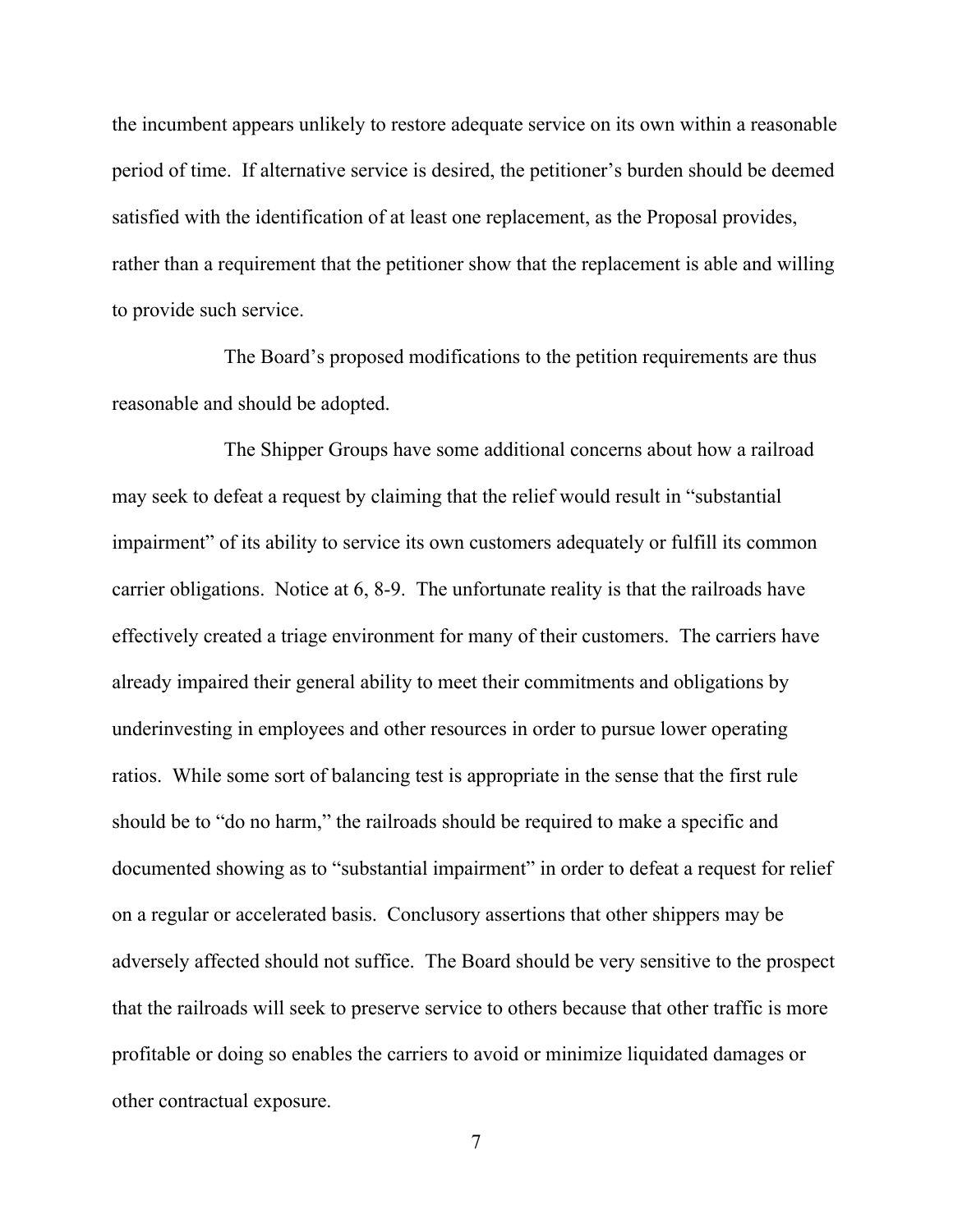the incumbent appears unlikely to restore adequate service on its own within a reasonable period of time. If alternative service is desired, the petitioner's burden should be deemed satisfied with the identification of at least one replacement, as the Proposal provides, rather than a requirement that the petitioner show that the replacement is able and willing to provide such service.

 The Board's proposed modifications to the petition requirements are thus reasonable and should be adopted.

 The Shipper Groups have some additional concerns about how a railroad may seek to defeat a request by claiming that the relief would result in "substantial impairment" of its ability to service its own customers adequately or fulfill its common carrier obligations. Notice at 6, 8-9. The unfortunate reality is that the railroads have effectively created a triage environment for many of their customers. The carriers have already impaired their general ability to meet their commitments and obligations by underinvesting in employees and other resources in order to pursue lower operating ratios. While some sort of balancing test is appropriate in the sense that the first rule should be to "do no harm," the railroads should be required to make a specific and documented showing as to "substantial impairment" in order to defeat a request for relief on a regular or accelerated basis. Conclusory assertions that other shippers may be adversely affected should not suffice. The Board should be very sensitive to the prospect that the railroads will seek to preserve service to others because that other traffic is more profitable or doing so enables the carriers to avoid or minimize liquidated damages or other contractual exposure.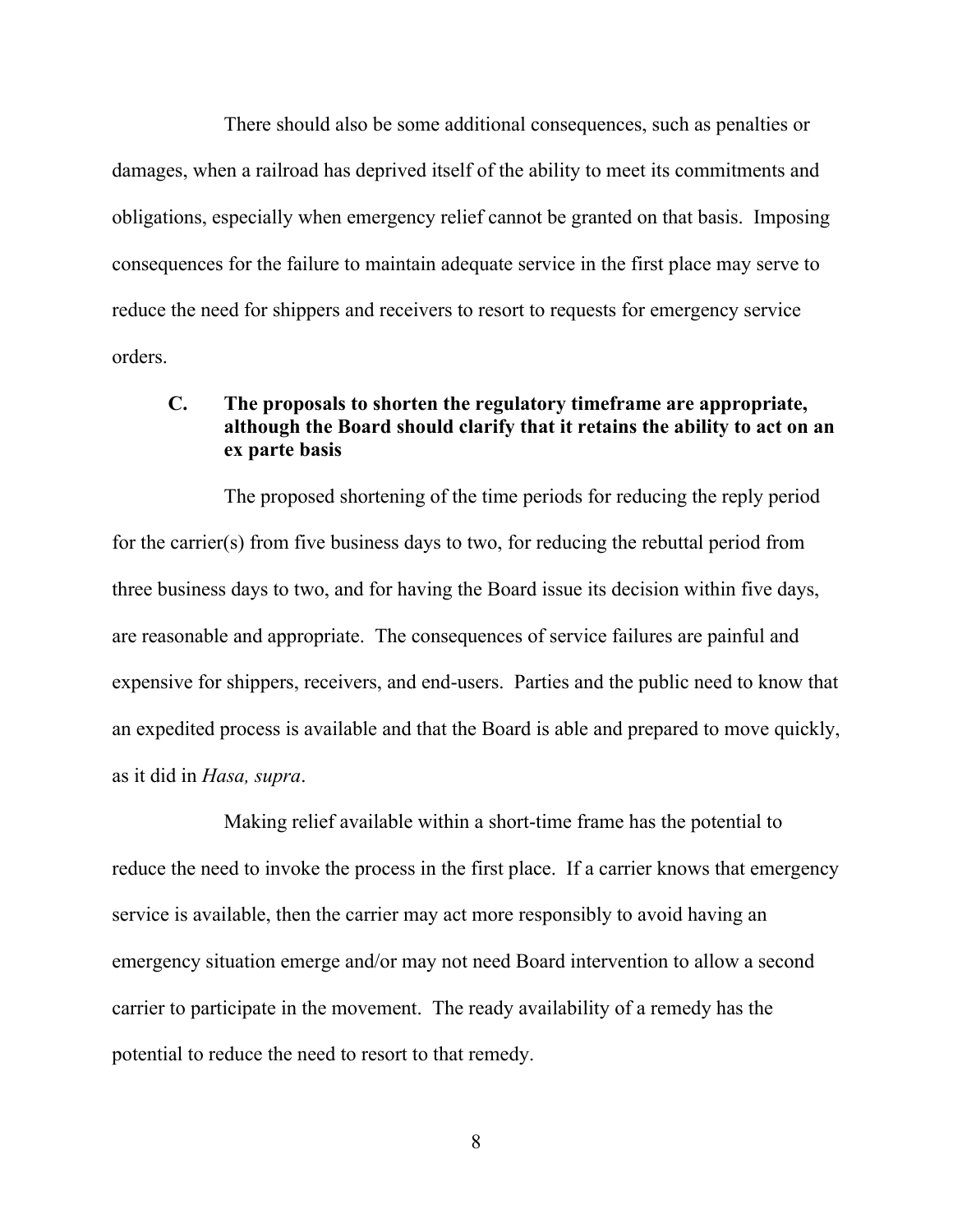There should also be some additional consequences, such as penalties or damages, when a railroad has deprived itself of the ability to meet its commitments and obligations, especially when emergency relief cannot be granted on that basis. Imposing consequences for the failure to maintain adequate service in the first place may serve to reduce the need for shippers and receivers to resort to requests for emergency service orders.

# **C. The proposals to shorten the regulatory timeframe are appropriate, although the Board should clarify that it retains the ability to act on an ex parte basis**

 The proposed shortening of the time periods for reducing the reply period for the carrier(s) from five business days to two, for reducing the rebuttal period from three business days to two, and for having the Board issue its decision within five days, are reasonable and appropriate. The consequences of service failures are painful and expensive for shippers, receivers, and end-users. Parties and the public need to know that an expedited process is available and that the Board is able and prepared to move quickly, as it did in *Hasa, supra*.

 Making relief available within a short-time frame has the potential to reduce the need to invoke the process in the first place. If a carrier knows that emergency service is available, then the carrier may act more responsibly to avoid having an emergency situation emerge and/or may not need Board intervention to allow a second carrier to participate in the movement. The ready availability of a remedy has the potential to reduce the need to resort to that remedy.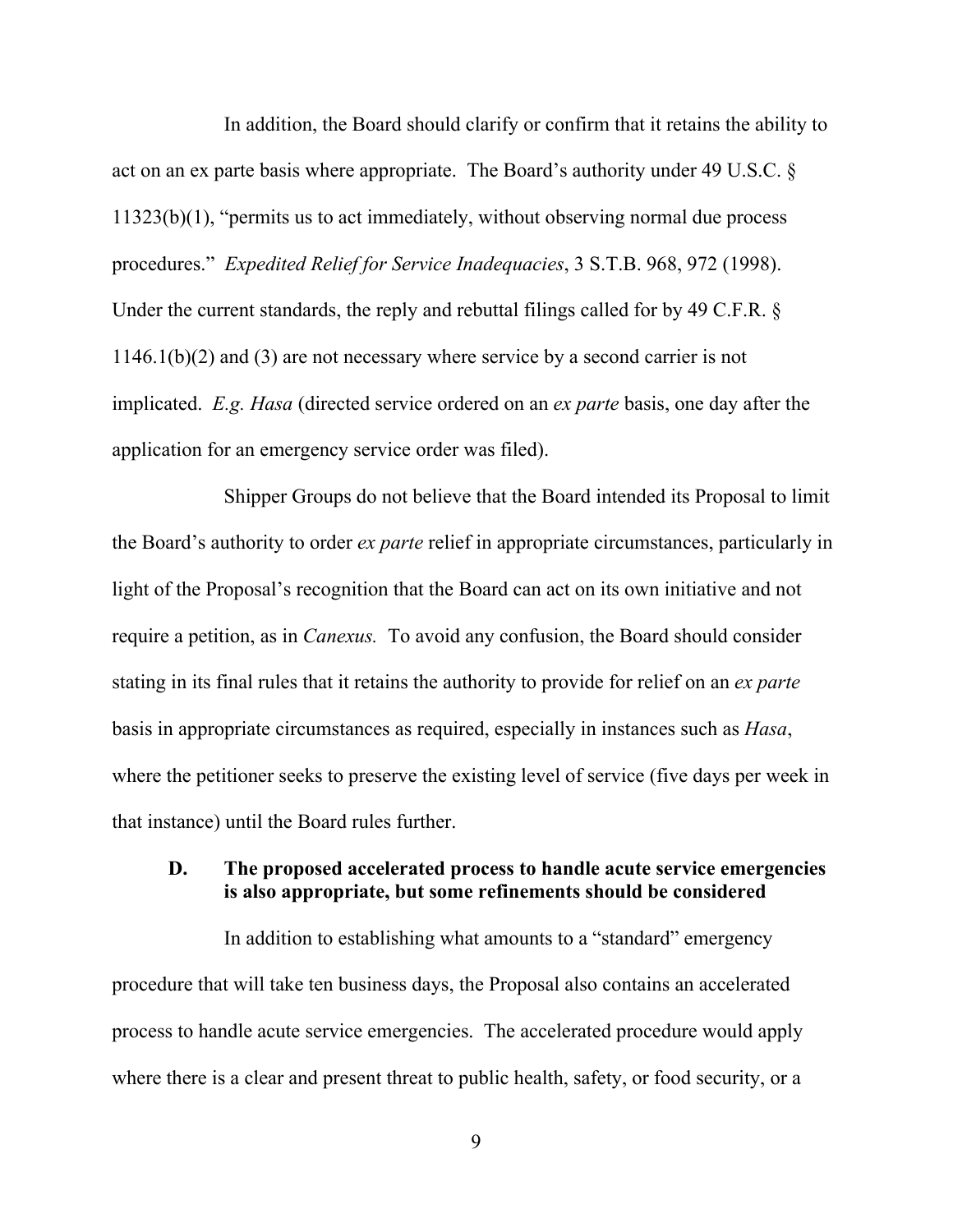In addition, the Board should clarify or confirm that it retains the ability to act on an ex parte basis where appropriate. The Board's authority under 49 U.S.C. § 11323(b)(1), "permits us to act immediately, without observing normal due process procedures." *Expedited Relief for Service Inadequacies*, 3 S.T.B. 968, 972 (1998). Under the current standards, the reply and rebuttal filings called for by 49 C.F.R. § 1146.1(b)(2) and (3) are not necessary where service by a second carrier is not implicated. *E.g. Hasa* (directed service ordered on an *ex parte* basis, one day after the application for an emergency service order was filed).

 Shipper Groups do not believe that the Board intended its Proposal to limit the Board's authority to order *ex parte* relief in appropriate circumstances, particularly in light of the Proposal's recognition that the Board can act on its own initiative and not require a petition, as in *Canexus.* To avoid any confusion, the Board should consider stating in its final rules that it retains the authority to provide for relief on an *ex parte* basis in appropriate circumstances as required, especially in instances such as *Hasa*, where the petitioner seeks to preserve the existing level of service (five days per week in that instance) until the Board rules further.

### **D. The proposed accelerated process to handle acute service emergencies is also appropriate, but some refinements should be considered**

 In addition to establishing what amounts to a "standard" emergency procedure that will take ten business days, the Proposal also contains an accelerated process to handle acute service emergencies. The accelerated procedure would apply where there is a clear and present threat to public health, safety, or food security, or a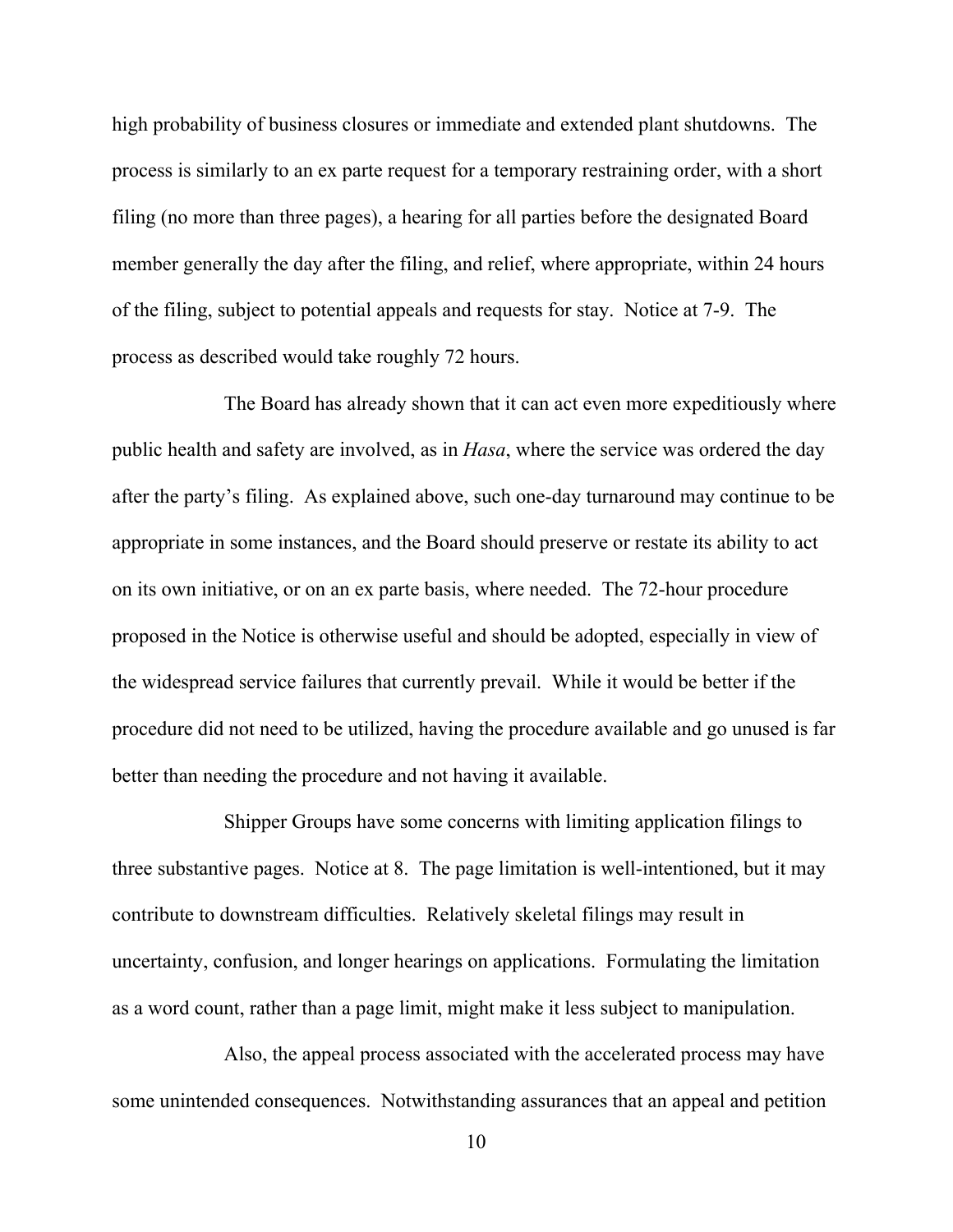high probability of business closures or immediate and extended plant shutdowns. The process is similarly to an ex parte request for a temporary restraining order, with a short filing (no more than three pages), a hearing for all parties before the designated Board member generally the day after the filing, and relief, where appropriate, within 24 hours of the filing, subject to potential appeals and requests for stay. Notice at 7-9. The process as described would take roughly 72 hours.

 The Board has already shown that it can act even more expeditiously where public health and safety are involved, as in *Hasa*, where the service was ordered the day after the party's filing. As explained above, such one-day turnaround may continue to be appropriate in some instances, and the Board should preserve or restate its ability to act on its own initiative, or on an ex parte basis, where needed. The 72-hour procedure proposed in the Notice is otherwise useful and should be adopted, especially in view of the widespread service failures that currently prevail. While it would be better if the procedure did not need to be utilized, having the procedure available and go unused is far better than needing the procedure and not having it available.

 Shipper Groups have some concerns with limiting application filings to three substantive pages. Notice at 8. The page limitation is well-intentioned, but it may contribute to downstream difficulties. Relatively skeletal filings may result in uncertainty, confusion, and longer hearings on applications. Formulating the limitation as a word count, rather than a page limit, might make it less subject to manipulation.

 Also, the appeal process associated with the accelerated process may have some unintended consequences. Notwithstanding assurances that an appeal and petition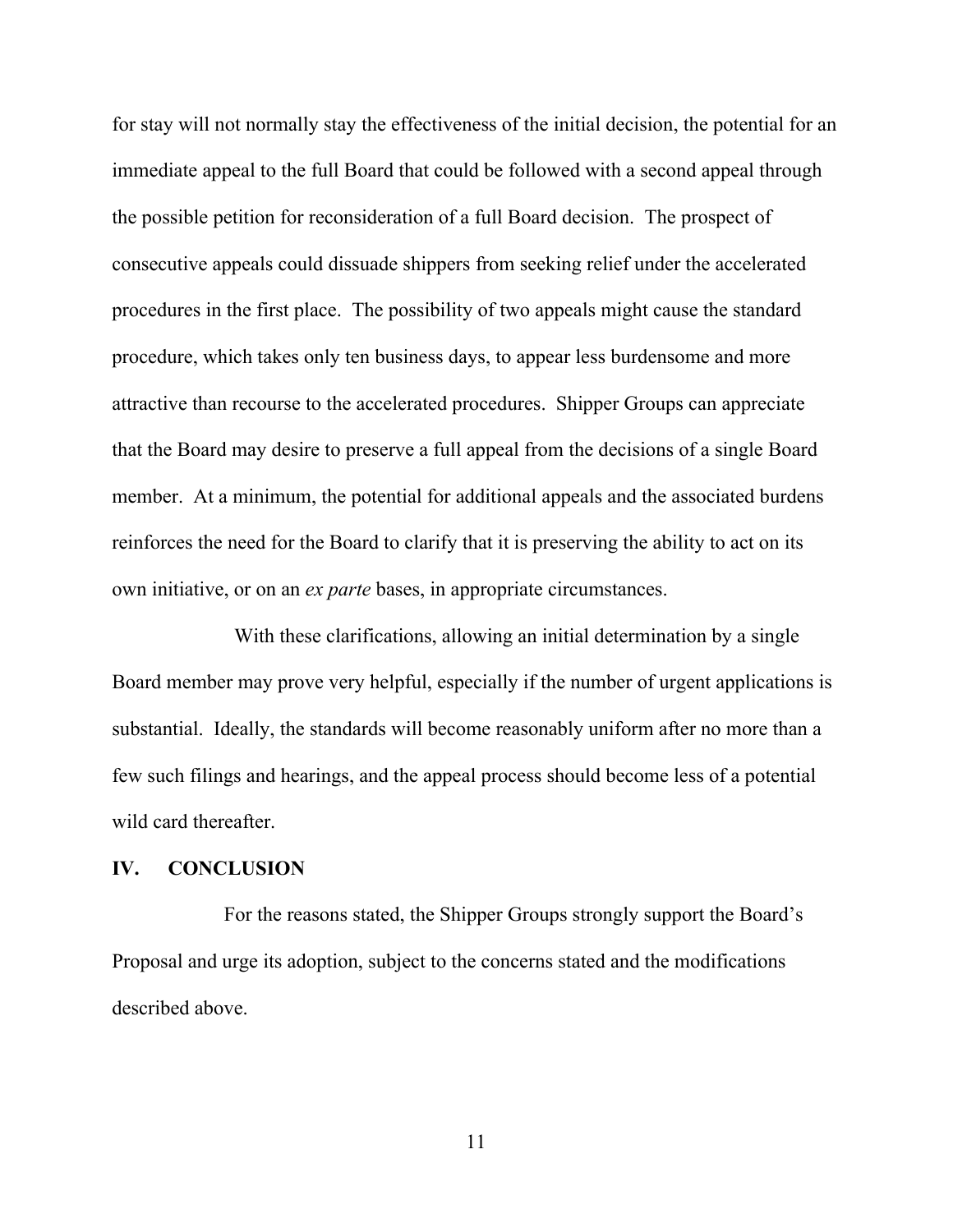for stay will not normally stay the effectiveness of the initial decision, the potential for an immediate appeal to the full Board that could be followed with a second appeal through the possible petition for reconsideration of a full Board decision. The prospect of consecutive appeals could dissuade shippers from seeking relief under the accelerated procedures in the first place. The possibility of two appeals might cause the standard procedure, which takes only ten business days, to appear less burdensome and more attractive than recourse to the accelerated procedures. Shipper Groups can appreciate that the Board may desire to preserve a full appeal from the decisions of a single Board member. At a minimum, the potential for additional appeals and the associated burdens reinforces the need for the Board to clarify that it is preserving the ability to act on its own initiative, or on an *ex parte* bases, in appropriate circumstances.

 With these clarifications, allowing an initial determination by a single Board member may prove very helpful, especially if the number of urgent applications is substantial. Ideally, the standards will become reasonably uniform after no more than a few such filings and hearings, and the appeal process should become less of a potential wild card thereafter.

### **IV. CONCLUSION**

 For the reasons stated, the Shipper Groups strongly support the Board's Proposal and urge its adoption, subject to the concerns stated and the modifications described above.